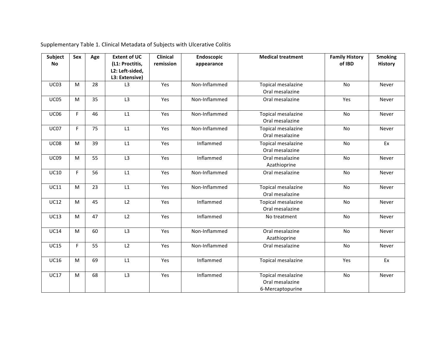| <b>Subject</b> | Sex | Age | <b>Extent of UC</b> | <b>Clinical</b> | Endoscopic    | <b>Medical treatment</b>  | <b>Family History</b> | <b>Smoking</b> |
|----------------|-----|-----|---------------------|-----------------|---------------|---------------------------|-----------------------|----------------|
| <b>No</b>      |     |     | (L1: Proctitis,     | remission       | appearance    |                           | of IBD                | <b>History</b> |
|                |     |     | L2: Left-sided,     |                 |               |                           |                       |                |
|                |     |     | L3: Extensive)      |                 |               |                           |                       |                |
| <b>UC03</b>    | M   | 28  | L <sub>3</sub>      | Yes             | Non-Inflammed | Topical mesalazine        | No                    | Never          |
|                |     |     |                     |                 |               | Oral mesalazine           |                       |                |
| <b>UC05</b>    | M   | 35  | L3                  | Yes             | Non-Inflammed | Oral mesalazine           | Yes                   | Never          |
|                |     |     |                     |                 |               |                           |                       |                |
| <b>UC06</b>    | F   | 46  | L1                  | Yes             | Non-Inflammed | Topical mesalazine        | No                    | Never          |
|                |     |     |                     |                 |               | Oral mesalazine           |                       |                |
| <b>UC07</b>    | F   | 75  | L1                  | Yes             | Non-Inflammed | <b>Topical mesalazine</b> | No                    | Never          |
|                |     |     |                     |                 |               | Oral mesalazine           |                       |                |
| <b>UC08</b>    | M   | 39  | L1                  | Yes             | Inflammed     | Topical mesalazine        | No                    | Ex             |
|                |     |     |                     |                 |               | Oral mesalazine           |                       |                |
| <b>UC09</b>    | M   | 55  | L3                  | Yes             | Inflammed     | Oral mesalazine           | No                    | Never          |
|                |     |     |                     |                 |               | Azathioprine              |                       |                |
| <b>UC10</b>    | F   | 56  | L1                  | Yes             | Non-Inflammed | Oral mesalazine           | No                    | Never          |
|                |     |     |                     |                 |               |                           |                       |                |
| <b>UC11</b>    | M   | 23  | L1                  | Yes             | Non-Inflammed | Topical mesalazine        | No                    | Never          |
|                |     |     |                     |                 |               | Oral mesalazine           |                       |                |
| <b>UC12</b>    | M   | 45  | L2                  | Yes             | Inflammed     | Topical mesalazine        | No                    | Never          |
|                |     |     |                     |                 |               | Oral mesalazine           |                       |                |
| <b>UC13</b>    | M   | 47  | L <sub>2</sub>      | Yes             | Inflammed     | No treatment              | No                    | Never          |
|                |     |     |                     |                 |               |                           |                       |                |
| <b>UC14</b>    | M   | 60  | L3                  | Yes             | Non-Inflammed | Oral mesalazine           | <b>No</b>             | Never          |
|                |     |     |                     |                 |               | Azathioprine              |                       |                |
| <b>UC15</b>    | F   | 55  | L2                  | Yes             | Non-Inflammed | Oral mesalazine           | No                    | Never          |
|                |     |     |                     |                 |               |                           |                       |                |
| <b>UC16</b>    | M   | 69  | L1                  | Yes             | Inflammed     | Topical mesalazine        | Yes                   | Ex             |
|                |     |     |                     |                 |               |                           |                       |                |
| <b>UC17</b>    | M   | 68  | L3                  | Yes             | Inflammed     | Topical mesalazine        | No                    | Never          |
|                |     |     |                     |                 |               | Oral mesalazine           |                       |                |
|                |     |     |                     |                 |               | 6-Mercaptopurine          |                       |                |

Supplementary Table 1. Clinical Metadata of Subjects with Ulcerative Colitis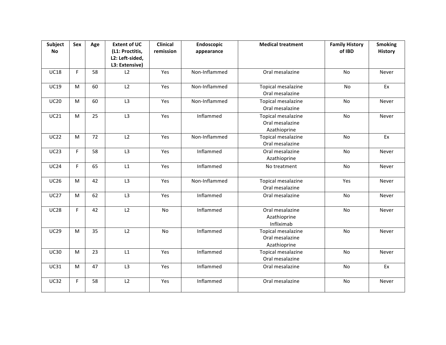| Subject     | Sex | Age | <b>Extent of UC</b> | Clinical  | Endoscopic    | <b>Medical treatment</b> | <b>Family History</b> | <b>Smoking</b> |
|-------------|-----|-----|---------------------|-----------|---------------|--------------------------|-----------------------|----------------|
| <b>No</b>   |     |     | (L1: Proctitis,     | remission | appearance    |                          | of IBD                | <b>History</b> |
|             |     |     | L2: Left-sided,     |           |               |                          |                       |                |
|             |     |     | L3: Extensive)      |           |               |                          |                       |                |
| <b>UC18</b> | F   | 58  | L2                  | Yes       | Non-Inflammed | Oral mesalazine          | No                    | Never          |
| <b>UC19</b> | M   | 60  | $\overline{L2}$     | Yes       | Non-Inflammed | Topical mesalazine       | No                    | Ex             |
|             |     |     |                     |           |               | Oral mesalazine          |                       |                |
| <b>UC20</b> | M   | 60  | L3                  | Yes       | Non-Inflammed | Topical mesalazine       | No                    | Never          |
|             |     |     |                     |           |               | Oral mesalazine          |                       |                |
| <b>UC21</b> | M   | 25  | L3                  | Yes       | Inflammed     | Topical mesalazine       | <b>No</b>             | Never          |
|             |     |     |                     |           |               | Oral mesalazine          |                       |                |
|             |     |     |                     |           |               | Azathioprine             |                       |                |
| <b>UC22</b> | M   | 72  | L2                  | Yes       | Non-Inflammed | Topical mesalazine       | No                    | Ex             |
|             |     |     |                     |           |               | Oral mesalazine          |                       |                |
| <b>UC23</b> | F.  | 58  | $\overline{L3}$     | Yes       | Inflammed     | Oral mesalazine          | No                    | Never          |
|             |     |     |                     |           |               | Azathioprine             |                       |                |
| UC24        | F.  | 65  | L1                  | Yes       | Inflammed     | No treatment             | No                    | Never          |
|             |     |     |                     |           |               |                          |                       |                |
| <b>UC26</b> | M   | 42  | L3                  | Yes       | Non-Inflammed | Topical mesalazine       | Yes                   | Never          |
|             |     |     |                     |           |               | Oral mesalazine          |                       |                |
| <b>UC27</b> | M   | 62  | L3                  | Yes       | Inflammed     | Oral mesalazine          | No                    | Never          |
|             |     |     |                     |           |               |                          |                       |                |
| <b>UC28</b> | F   | 42  | L2                  | No        | Inflammed     | Oral mesalazine          | No                    | Never          |
|             |     |     |                     |           |               | Azathioprine             |                       |                |
|             |     |     |                     |           |               | Infliximab               |                       |                |
| <b>UC29</b> | M   | 35  | L2                  | No        | Inflammed     | Topical mesalazine       | No                    | Never          |
|             |     |     |                     |           |               | Oral mesalazine          |                       |                |
|             |     |     |                     |           |               | Azathioprine             |                       |                |
| <b>UC30</b> | M   | 23  | L1                  | Yes       | Inflammed     | Topical mesalazine       | No                    | Never          |
|             |     |     |                     |           |               | Oral mesalazine          |                       |                |
| <b>UC31</b> | M   | 47  | L3                  | Yes       | Inflammed     | Oral mesalazine          | No                    | Ex             |
|             |     |     |                     |           |               |                          |                       |                |
| <b>UC32</b> | F   | 58  | L2                  | Yes       | Inflammed     | Oral mesalazine          | No                    | Never          |
|             |     |     |                     |           |               |                          |                       |                |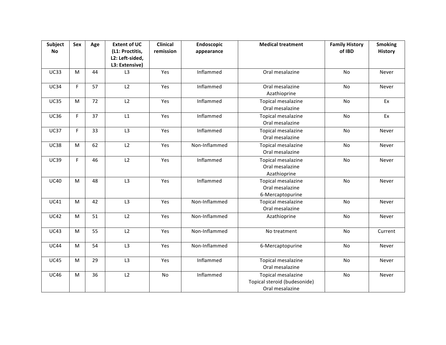| Subject     | Sex | Age | <b>Extent of UC</b> | <b>Clinical</b> | <b>Endoscopic</b> | <b>Medical treatment</b>     | <b>Family History</b> | <b>Smoking</b> |
|-------------|-----|-----|---------------------|-----------------|-------------------|------------------------------|-----------------------|----------------|
| <b>No</b>   |     |     | (L1: Proctitis,     | remission       | appearance        |                              | of IBD                | <b>History</b> |
|             |     |     | L2: Left-sided,     |                 |                   |                              |                       |                |
|             |     |     | L3: Extensive)      |                 |                   |                              |                       |                |
| <b>UC33</b> | M   | 44  | L <sub>3</sub>      | Yes             | Inflammed         | Oral mesalazine              | No                    | Never          |
| <b>UC34</b> | F   | 57  | $\overline{L2}$     | Yes             | Inflammed         | Oral mesalazine              | <b>No</b>             | Never          |
|             |     |     |                     |                 |                   | Azathioprine                 |                       |                |
| <b>UC35</b> | M   | 72  | L2                  | Yes             | Inflammed         | Topical mesalazine           | No                    | Ex             |
|             |     |     |                     |                 |                   | Oral mesalazine              |                       |                |
| <b>UC36</b> | F   | 37  | L1                  | Yes             | Inflammed         | Topical mesalazine           | No                    | Ex             |
|             |     |     |                     |                 |                   | Oral mesalazine              |                       |                |
| <b>UC37</b> | F   | 33  | L3                  | Yes             | Inflammed         | Topical mesalazine           | No                    | Never          |
|             |     |     |                     |                 |                   | Oral mesalazine              |                       |                |
| <b>UC38</b> | M   | 62  | L2                  | Yes             | Non-Inflammed     | Topical mesalazine           | No                    | Never          |
|             |     |     |                     |                 |                   | Oral mesalazine              |                       |                |
| <b>UC39</b> | F   | 46  | L2                  | Yes             | Inflammed         | Topical mesalazine           | No                    | Never          |
|             |     |     |                     |                 |                   | Oral mesalazine              |                       |                |
|             |     |     |                     |                 |                   | Azathioprine                 |                       |                |
| <b>UC40</b> | M   | 48  | L3                  | Yes             | Inflammed         | Topical mesalazine           | No                    | Never          |
|             |     |     |                     |                 |                   | Oral mesalazine              |                       |                |
|             |     |     |                     |                 |                   | 6-Mercaptopurine             |                       |                |
| <b>UC41</b> | M   | 42  | L3                  | Yes             | Non-Inflammed     | Topical mesalazine           | No                    | Never          |
|             |     |     |                     |                 |                   | Oral mesalazine              |                       |                |
| <b>UC42</b> | M   | 51  | L2                  | Yes             | Non-Inflammed     | Azathioprine                 | No                    | Never          |
|             |     |     |                     |                 |                   |                              |                       |                |
| <b>UC43</b> | M   | 55  | L2                  | Yes             | Non-Inflammed     | No treatment                 | No                    | Current        |
|             |     |     |                     |                 |                   |                              |                       |                |
| <b>UC44</b> | M   | 54  | L3                  | Yes             | Non-Inflammed     | 6-Mercaptopurine             | No                    | Never          |
|             |     |     |                     |                 |                   |                              |                       |                |
| <b>UC45</b> | M   | 29  | L3                  | Yes             | Inflammed         | Topical mesalazine           | No                    | Never          |
|             |     |     |                     |                 |                   | Oral mesalazine              |                       |                |
| <b>UC46</b> | M   | 36  | L2                  | No              | Inflammed         | Topical mesalazine           | No                    | Never          |
|             |     |     |                     |                 |                   | Topical steroid (budesonide) |                       |                |
|             |     |     |                     |                 |                   | Oral mesalazine              |                       |                |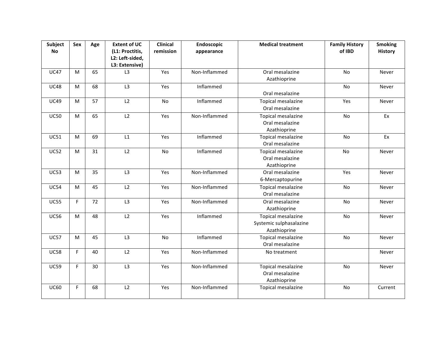| Subject     | Sex | Age | <b>Extent of UC</b>                | <b>Clinical</b> | Endoscopic    | <b>Medical treatment</b>              | <b>Family History</b> | <b>Smoking</b> |
|-------------|-----|-----|------------------------------------|-----------------|---------------|---------------------------------------|-----------------------|----------------|
| <b>No</b>   |     |     | (L1: Proctitis,<br>L2: Left-sided, | remission       | appearance    |                                       | of IBD                | <b>History</b> |
|             |     |     | L3: Extensive)                     |                 |               |                                       |                       |                |
| <b>UC47</b> | M   | 65  | L3                                 | Yes             | Non-Inflammed | Oral mesalazine                       | No                    | Never          |
|             |     |     |                                    |                 |               | Azathioprine                          |                       |                |
| <b>UC48</b> | M   | 68  | L3                                 | Yes             | Inflammed     |                                       | No                    | Never          |
|             |     |     |                                    |                 |               | Oral mesalazine                       |                       |                |
| <b>UC49</b> | м   | 57  | L2                                 | No              | Inflammed     | Topical mesalazine                    | Yes                   | Never          |
|             |     |     |                                    |                 |               | Oral mesalazine                       |                       |                |
| <b>UC50</b> | M   | 65  | L2                                 | Yes             | Non-Inflammed | Topical mesalazine                    | No                    | Ex             |
|             |     |     |                                    |                 |               | Oral mesalazine                       |                       |                |
|             |     |     | L1                                 |                 |               | Azathioprine                          |                       |                |
| <b>UC51</b> | M   | 69  |                                    | Yes             | Inflammed     | Topical mesalazine<br>Oral mesalazine | No                    | Ex             |
| <b>UC52</b> | M   | 31  | L2                                 | No              | Inflammed     | Topical mesalazine                    | No                    |                |
|             |     |     |                                    |                 |               | Oral mesalazine                       |                       | Never          |
|             |     |     |                                    |                 |               | Azathioprine                          |                       |                |
| <b>UC53</b> | M   | 35  | L3                                 | Yes             | Non-Inflammed | Oral mesalazine                       | Yes                   | Never          |
|             |     |     |                                    |                 |               | 6-Mercaptopurine                      |                       |                |
| <b>UC54</b> | M   | 45  | L2                                 | Yes             | Non-Inflammed | Topical mesalazine                    | No                    | Never          |
|             |     |     |                                    |                 |               | Oral mesalazine                       |                       |                |
| <b>UC55</b> | F   | 72  | L3                                 | Yes             | Non-Inflammed | Oral mesalazine                       | No                    | Never          |
|             |     |     |                                    |                 |               | Azathioprine                          |                       |                |
| <b>UC56</b> | M   | 48  | L2                                 | Yes             | Inflammed     | Topical mesalazine                    | No                    | Never          |
|             |     |     |                                    |                 |               | Systemic sulphasalazine               |                       |                |
|             |     |     |                                    |                 |               | Azathioprine                          |                       |                |
| <b>UC57</b> | M   | 45  | L3                                 | No              | Inflammed     | Topical mesalazine                    | No                    | Never          |
|             |     |     |                                    |                 |               | Oral mesalazine                       |                       |                |
| <b>UC58</b> | F   | 40  | L2                                 | Yes             | Non-Inflammed | No treatment                          |                       | Never          |
|             |     |     |                                    |                 |               |                                       |                       |                |
| <b>UC59</b> | F   | 30  | L3                                 | Yes             | Non-Inflammed | Topical mesalazine                    | No                    | Never          |
|             |     |     |                                    |                 |               | Oral mesalazine                       |                       |                |
|             |     |     |                                    |                 |               | Azathioprine                          |                       |                |
| <b>UC60</b> | F   | 68  | L2                                 | Yes             | Non-Inflammed | Topical mesalazine                    | No                    | Current        |
|             |     |     |                                    |                 |               |                                       |                       |                |